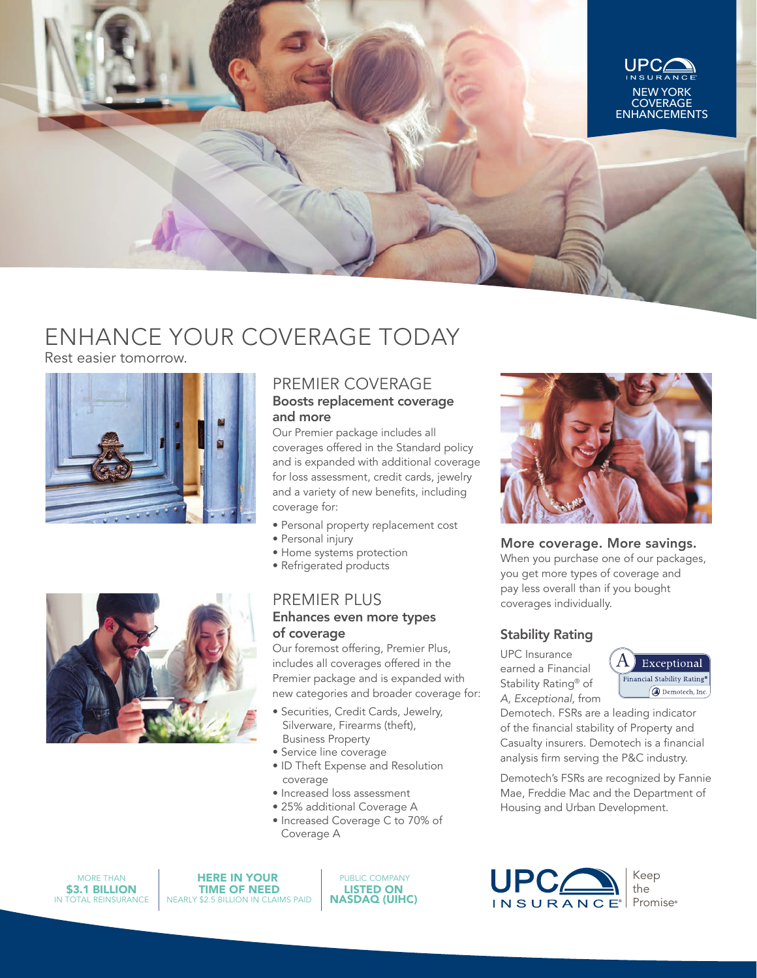

# ENHANCE YOUR COVERAGE TODAY

Rest easier tomorrow.





# PREMIER COVERAGE Boosts replacement coverage and more

Our Premier package includes all coverages offered in the Standard policy and is expanded with additional coverage for loss assessment, credit cards, jewelry and a variety of new benefits, including coverage for:

- Personal property replacement cost
- Personal injury
- Home systems protection
- Refrigerated products

# PREMIER PLUS Enhances even more types of coverage

Our foremost offering, Premier Plus, includes all coverages offered in the Premier package and is expanded with new categories and broader coverage for:

- Securities, Credit Cards, Jewelry, Silverware, Firearms (theft), Business Property
- Service line coverage
- ID Theft Expense and Resolution coverage
- Increased loss assessment
- 25% additional Coverage A
- Increased Coverage C to 70% of Coverage A



#### More coverage. More savings.

When you purchase one of our packages, you get more types of coverage and pay less overall than if you bought coverages individually.

# Stability Rating

UPC Insurance earned a Financial Stability Rating® of *A, Exceptional,* from



Demotech. FSRs are a leading indicator of the financial stability of Property and Casualty insurers. Demotech is a financial analysis firm serving the P&C industry.

Demotech's FSRs are recognized by Fannie Mae, Freddie Mac and the Department of Housing and Urban Development.



MORE THAN IN TOTAL REINSURANCE \$3.1 BILLION

HERE IN YOUR TIME OF NEED NEARLY \$2.5 BILLION IN CLAIMS PAID

 PUBLIC COMPANY LISTED ON NASDAQ (UIHC)